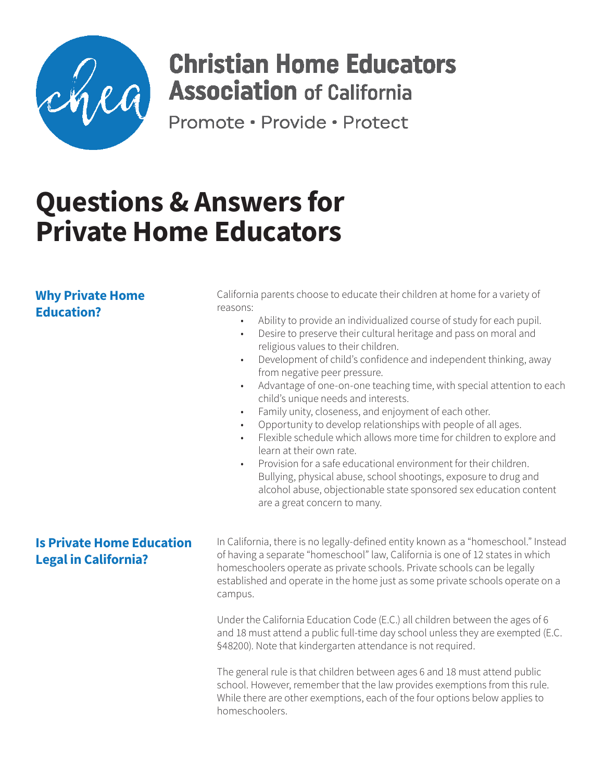

## **Christian Home Educators Association** of California

Promote · Provide · Protect

# **Questions & Answers for Private Home Educators**

## **Why Private Home Education?**

California parents choose to educate their children at home for a variety of reasons:

- Ability to provide an individualized course of study for each pupil.
- Desire to preserve their cultural heritage and pass on moral and religious values to their children.
- Development of child's confidence and independent thinking, away from negative peer pressure.
- Advantage of one-on-one teaching time, with special attention to each child's unique needs and interests.
- Family unity, closeness, and enjoyment of each other.
- Opportunity to develop relationships with people of all ages.
- Flexible schedule which allows more time for children to explore and learn at their own rate.
- Provision for a safe educational environment for their children. Bullying, physical abuse, school shootings, exposure to drug and alcohol abuse, objectionable state sponsored sex education content are a great concern to many.

## **Is Private Home Education Legal in California?**

In California, there is no legally-defined entity known as a "homeschool." Instead of having a separate "homeschool" law, California is one of 12 states in which homeschoolers operate as private schools. Private schools can be legally established and operate in the home just as some private schools operate on a campus.

Under the California Education Code (E.C.) all children between the ages of 6 and 18 must attend a public full-time day school unless they are exempted (E.C. §48200). Note that kindergarten attendance is not required.

The general rule is that children between ages 6 and 18 must attend public school. However, remember that the law provides exemptions from this rule. While there are other exemptions, each of the four options below applies to homeschoolers.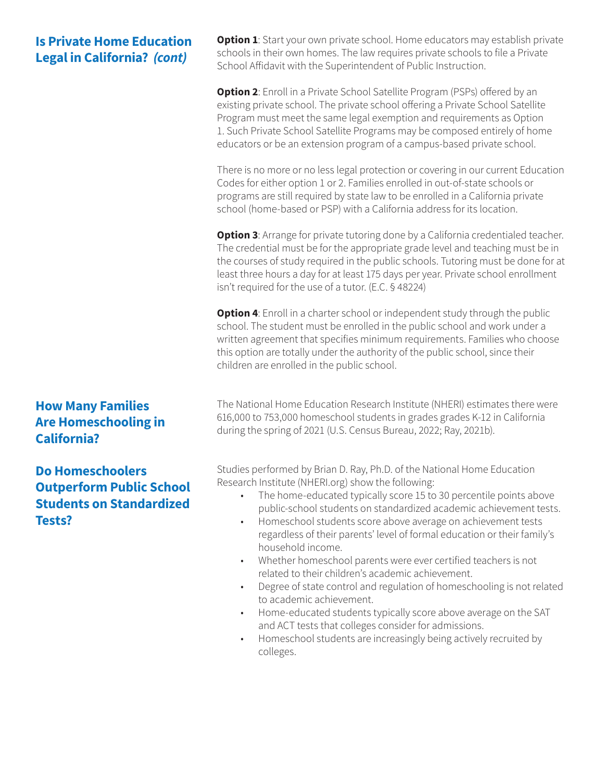## **Is Private Home Education Legal in California?** *(cont)*

**How Many Families Are Homeschooling in California?**

**Do Homeschoolers Outperform Public School Students on Standardized Tests?**

**Option 1**: Start your own private school. Home educators may establish private schools in their own homes. The law requires private schools to file a Private School Affidavit with the Superintendent of Public Instruction.

**Option 2**: Enroll in a Private School Satellite Program (PSPs) offered by an existing private school. The private school offering a Private School Satellite Program must meet the same legal exemption and requirements as Option 1. Such Private School Satellite Programs may be composed entirely of home educators or be an extension program of a campus-based private school.

There is no more or no less legal protection or covering in our current Education Codes for either option 1 or 2. Families enrolled in out-of-state schools or programs are still required by state law to be enrolled in a California private school (home-based or PSP) with a California address for its location.

**Option 3**: Arrange for private tutoring done by a California credentialed teacher. The credential must be for the appropriate grade level and teaching must be in the courses of study required in the public schools. Tutoring must be done for at least three hours a day for at least 175 days per year. Private school enrollment isn't required for the use of a tutor. (E.C. § 48224)

**Option 4**: Enroll in a charter school or independent study through the public school. The student must be enrolled in the public school and work under a written agreement that specifies minimum requirements. Families who choose this option are totally under the authority of the public school, since their children are enrolled in the public school.

The National Home Education Research Institute (NHERI) estimates there were 616,000 to 753,000 homeschool students in grades grades K-12 in California during the spring of 2021 (U.S. Census Bureau, 2022; Ray, 2021b).

Studies performed by Brian D. Ray, Ph.D. of the National Home Education Research Institute (NHERI.org) show the following:

- The home-educated typically score 15 to 30 percentile points above public-school students on standardized academic achievement tests.
- Homeschool students score above average on achievement tests regardless of their parents' level of formal education or their family's household income.
- Whether homeschool parents were ever certified teachers is not related to their children's academic achievement.
- Degree of state control and regulation of homeschooling is not related to academic achievement.
- Home-educated students typically score above average on the SAT and ACT tests that colleges consider for admissions.
- Homeschool students are increasingly being actively recruited by colleges.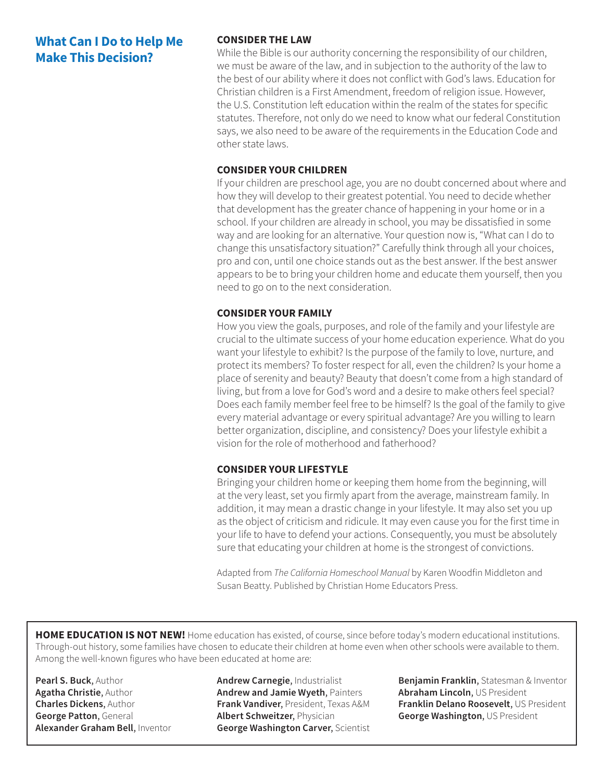## **What Can I Do to Help Me Make This Decision?**

#### **CONSIDER THE LAW**

While the Bible is our authority concerning the responsibility of our children, we must be aware of the law, and in subjection to the authority of the law to the best of our ability where it does not conflict with God's laws. Education for Christian children is a First Amendment, freedom of religion issue. However, the U.S. Constitution left education within the realm of the states for specific statutes. Therefore, not only do we need to know what our federal Constitution says, we also need to be aware of the requirements in the Education Code and other state laws.

#### **CONSIDER YOUR CHILDREN**

If your children are preschool age, you are no doubt concerned about where and how they will develop to their greatest potential. You need to decide whether that development has the greater chance of happening in your home or in a school. If your children are already in school, you may be dissatisfied in some way and are looking for an alternative. Your question now is, "What can I do to change this unsatisfactory situation?" Carefully think through all your choices, pro and con, until one choice stands out as the best answer. If the best answer appears to be to bring your children home and educate them yourself, then you need to go on to the next consideration.

#### **CONSIDER YOUR FAMILY**

How you view the goals, purposes, and role of the family and your lifestyle are crucial to the ultimate success of your home education experience. What do you want your lifestyle to exhibit? Is the purpose of the family to love, nurture, and protect its members? To foster respect for all, even the children? Is your home a place of serenity and beauty? Beauty that doesn't come from a high standard of living, but from a love for God's word and a desire to make others feel special? Does each family member feel free to be himself? Is the goal of the family to give every material advantage or every spiritual advantage? Are you willing to learn better organization, discipline, and consistency? Does your lifestyle exhibit a vision for the role of motherhood and fatherhood?

#### **CONSIDER YOUR LIFESTYLE**

Bringing your children home or keeping them home from the beginning, will at the very least, set you firmly apart from the average, mainstream family. In addition, it may mean a drastic change in your lifestyle. It may also set you up as the object of criticism and ridicule. It may even cause you for the first time in your life to have to defend your actions. Consequently, you must be absolutely sure that educating your children at home is the strongest of convictions.

Adapted from *The California Homeschool Manual* by Karen Woodfin Middleton and Susan Beatty. Published by Christian Home Educators Press.

**HOME EDUCATION IS NOT NEW!** Home education has existed, of course, since before today's modern educational institutions. Through-out history, some families have chosen to educate their children at home even when other schools were available to them. Among the well-known figures who have been educated at home are:

**Pearl S. Buck**, Author **Agatha Christie**, Author **Charles Dickens**, Author **George Patton**, General **Alexander Graham Bell**, Inventor **Andrew Carnegie**, Industrialist **Andrew and Jamie Wyeth**, Painters **Frank Vandiver**, President, Texas A&M **Albert Schweitzer**, Physician **George Washington Carver**, Scientist **Benjamin Franklin**, Statesman & Inventor **Abraham Lincoln**, US President **Franklin Delano Roosevelt**, US President **George Washington**, US President